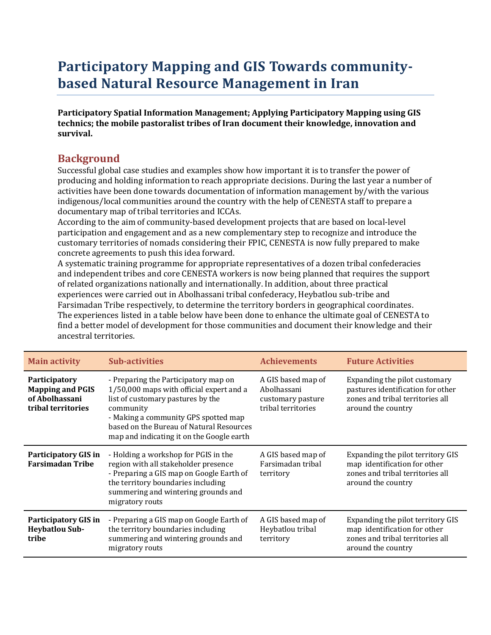# **Participatory Mapping and GIS Towards communitybased Natural Resource Management in Iran**

**Participatory Spatial Information Management; Applying Participatory Mapping using GIS technics; the mobile pastoralist tribes of Iran document their knowledge, innovation and survival.** 

#### **Background**

Successful global case studies and examples show how important it is to transfer the power of producing and holding information to reach appropriate decisions. During the last year a number of activities have been done towards documentation of information management by/with the various indigenous/local communities around the country with the help of CENESTA staff to prepare a documentary map of tribal territories and ICCAs.

According to the aim of community-based development projects that are based on local-level participation and engagement and as a new complementary step to recognize and introduce the customary territories of nomads considering their FPIC, CENESTA is now fully prepared to make concrete agreements to push this idea forward.

A systematic training programme for appropriate representatives of a dozen tribal confederacies and independent tribes and core CENESTA workers is now being planned that requires the support of related organizations nationally and internationally. In addition, about three practical experiences were carried out in Abolhassani tribal confederacy, Heybatlou sub-tribe and Farsimadan Tribe respectively, to determine the territory borders in geographical coordinates. The experiences listed in a table below have been done to enhance the ultimate goal of CENESTA to find a better model of development for those communities and document their knowledge and their ancestral territories.

| <b>Main activity</b>                                                             | <b>Sub-activities</b>                                                                                                                                                                                                                                               | <b>Achievements</b>                                                          | <b>Future Activities</b>                                                                                                     |
|----------------------------------------------------------------------------------|---------------------------------------------------------------------------------------------------------------------------------------------------------------------------------------------------------------------------------------------------------------------|------------------------------------------------------------------------------|------------------------------------------------------------------------------------------------------------------------------|
| Participatory<br><b>Mapping and PGIS</b><br>of Abolhassani<br>tribal territories | - Preparing the Participatory map on<br>1/50,000 maps with official expert and a<br>list of customary pastures by the<br>community<br>- Making a community GPS spotted map<br>based on the Bureau of Natural Resources<br>map and indicating it on the Google earth | A GIS based map of<br>Abolhassani<br>customary pasture<br>tribal territories | Expanding the pilot customary<br>pastures identification for other<br>zones and tribal territories all<br>around the country |
| <b>Participatory GIS in</b><br><b>Farsimadan Tribe</b>                           | - Holding a workshop for PGIS in the<br>region with all stakeholder presence<br>- Preparing a GIS map on Google Earth of<br>the territory boundaries including<br>summering and wintering grounds and<br>migratory routs                                            | A GIS based map of<br>Farsimadan tribal<br>territory                         | Expanding the pilot territory GIS<br>map identification for other<br>zones and tribal territories all<br>around the country  |
| <b>Participatory GIS in</b><br><b>Heybatlou Sub-</b><br>tribe                    | - Preparing a GIS map on Google Earth of<br>the territory boundaries including<br>summering and wintering grounds and<br>migratory routs                                                                                                                            | A GIS based map of<br>Heybatlou tribal<br>territory                          | Expanding the pilot territory GIS<br>map identification for other<br>zones and tribal territories all<br>around the country  |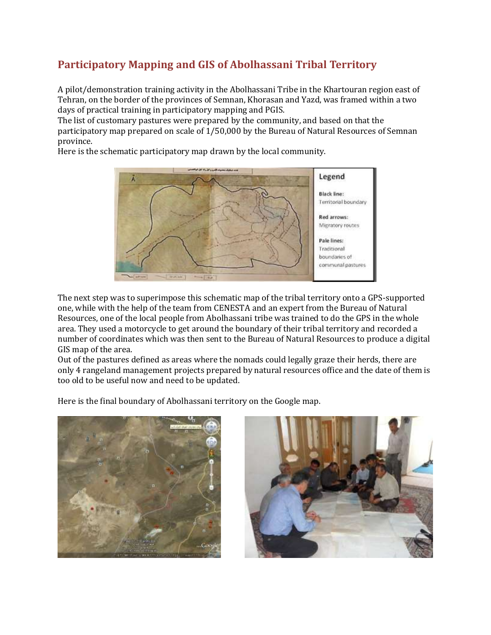# **Participatory Mapping and GIS of Abolhassani Tribal Territory**

A pilot/demonstration training activity in the Abolhassani Tribe in the Khartouran region east of Tehran, on the border of the provinces of Semnan, Khorasan and Yazd, was framed within a two days of practical training in participatory mapping and PGIS.

The list of customary pastures were prepared by the community, and based on that the participatory map prepared on scale of 1/50,000 by the Bureau of Natural Resources of Semnan province.

Here is the schematic participatory map drawn by the local community.



The next step was to superimpose this schematic map of the tribal territory onto a GPS-supported one, while with the help of the team from CENESTA and an expert from the Bureau of Natural Resources, one of the local people from Abolhassani tribe was trained to do the GPS in the whole area. They used a motorcycle to get around the boundary of their tribal territory and recorded a number of coordinates which was then sent to the Bureau of Natural Resources to produce a digital GIS map of the area.

Out of the pastures defined as areas where the nomads could legally graze their herds, there are only 4 rangeland management projects prepared by natural resources office and the date of them is too old to be useful now and need to be updated.

Here is the final boundary of Abolhassani territory on the Google map.



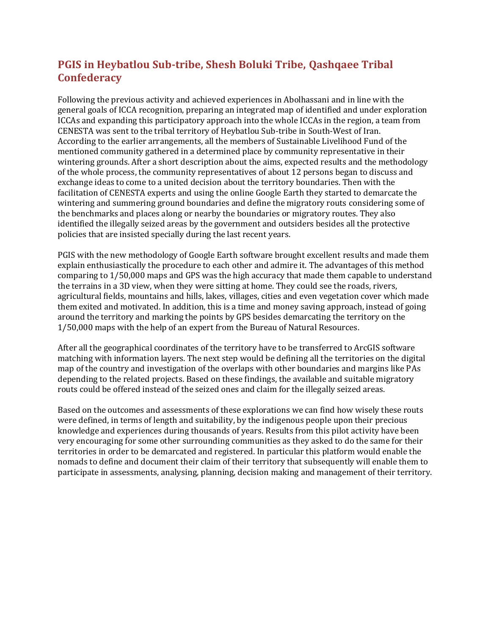### **PGIS in Heybatlou Sub-tribe, Shesh Boluki Tribe, Qashqaee Tribal Confederacy**

Following the previous activity and achieved experiences in Abolhassani and in line with the general goals of ICCA recognition, preparing an integrated map of identified and under exploration ICCAs and expanding this participatory approach into the whole ICCAs in the region, a team from CENESTA was sent to the tribal territory of Heybatlou Sub-tribe in South-West of Iran. According to the earlier arrangements, all the members of Sustainable Livelihood Fund of the mentioned community gathered in a determined place by community representative in their wintering grounds. After a short description about the aims, expected results and the methodology of the whole process, the community representatives of about 12 persons began to discuss and exchange ideas to come to a united decision about the territory boundaries. Then with the facilitation of CENESTA experts and using the online Google Earth they started to demarcate the wintering and summering ground boundaries and define the migratory routs considering some of the benchmarks and places along or nearby the boundaries or migratory routes. They also identified the illegally seized areas by the government and outsiders besides all the protective policies that are insisted specially during the last recent years.

PGIS with the new methodology of Google Earth software brought excellent results and made them explain enthusiastically the procedure to each other and admire it. The advantages of this method comparing to 1/50,000 maps and GPS was the high accuracy that made them capable to understand the terrains in a 3D view, when they were sitting at home. They could see the roads, rivers, agricultural fields, mountains and hills, lakes, villages, cities and even vegetation cover which made them exited and motivated. In addition, this is a time and money saving approach, instead of going around the territory and marking the points by GPS besides demarcating the territory on the 1/50,000 maps with the help of an expert from the Bureau of Natural Resources.

After all the geographical coordinates of the territory have to be transferred to ArcGIS software matching with information layers. The next step would be defining all the territories on the digital map of the country and investigation of the overlaps with other boundaries and margins like PAs depending to the related projects. Based on these findings, the available and suitable migratory routs could be offered instead of the seized ones and claim for the illegally seized areas.

Based on the outcomes and assessments of these explorations we can find how wisely these routs were defined, in terms of length and suitability, by the indigenous people upon their precious knowledge and experiences during thousands of years. Results from this pilot activity have been very encouraging for some other surrounding communities as they asked to do the same for their territories in order to be demarcated and registered. In particular this platform would enable the nomads to define and document their claim of their territory that subsequently will enable them to participate in assessments, analysing, planning, decision making and management of their territory.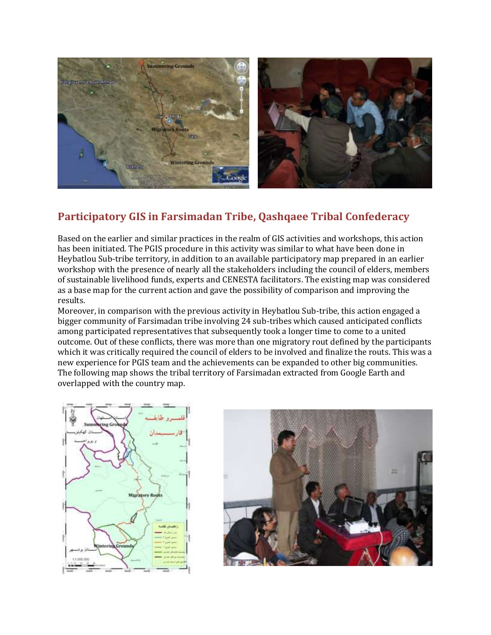

## **Participatory GIS in Farsimadan Tribe, Qashqaee Tribal Confederacy**

Based on the earlier and similar practices in the realm of GIS activities and workshops, this action has been initiated. The PGIS procedure in this activity was similar to what have been done in Heybatlou Sub-tribe territory, in addition to an available participatory map prepared in an earlier workshop with the presence of nearly all the stakeholders including the council of elders, members of sustainable livelihood funds, experts and CENESTA facilitators. The existing map was considered as a base map for the current action and gave the possibility of comparison and improving the results.

Moreover, in comparison with the previous activity in Heybatlou Sub-tribe, this action engaged a bigger community of Farsimadan tribe involving 24 sub-tribes which caused anticipated conflicts among participated representatives that subsequently took a longer time to come to a united outcome. Out of these conflicts, there was more than one migratory rout defined by the participants which it was critically required the council of elders to be involved and finalize the routs. This was a new experience for PGIS team and the achievements can be expanded to other big communities. The following map shows the tribal territory of Farsimadan extracted from Google Earth and overlapped with the country map.